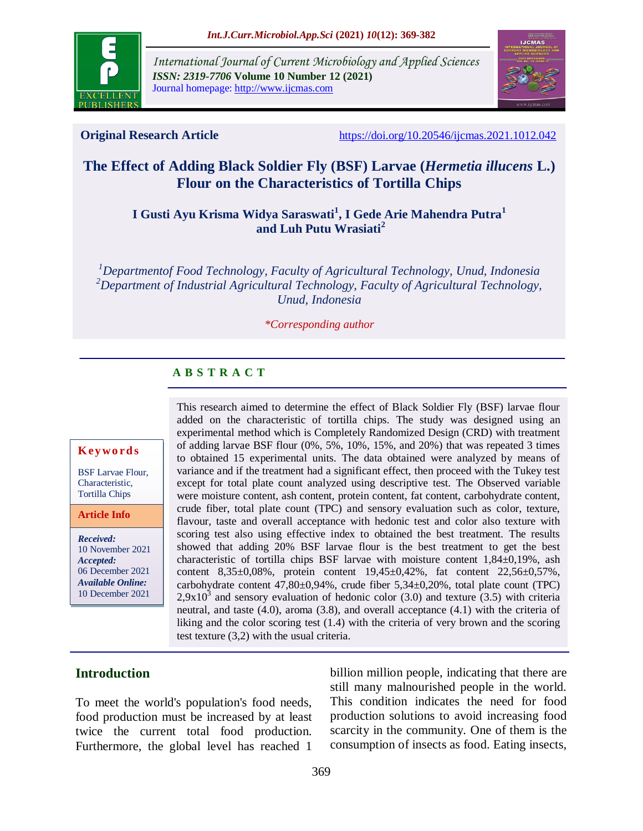

*International Journal of Current Microbiology and Applied Sciences ISSN: 2319-7706* **Volume 10 Number 12 (2021)**  Journal homepage: http://www.ijcmas.com



**Original Research Article** <https://doi.org/10.20546/ijcmas.2021.1012.042>

# **The Effect of Adding Black Soldier Fly (BSF) Larvae (***Hermetia illucens* **L.) Flour on the Characteristics of Tortilla Chips**

**I Gusti Ayu Krisma Widya Saraswati<sup>1</sup> , I Gede Arie Mahendra Putra<sup>1</sup> and Luh Putu Wrasiati<sup>2</sup>**

*<sup>1</sup>Departmentof Food Technology, Faculty of Agricultural Technology, Unud, Indonesia <sup>2</sup>Department of Industrial Agricultural Technology, Faculty of Agricultural Technology, Unud, Indonesia*

#### *\*Corresponding author*

#### **A B S T R A C T**

#### **K ey w o rd s**

BSF Larvae Flour, Characteristic, Tortilla Chips

**Article Info**

*Received:*  10 November 2021 *Accepted:*  06 December 2021 *Available Online:* 10 December 2021

This research aimed to determine the effect of Black Soldier Fly (BSF) larvae flour added on the characteristic of tortilla chips. The study was designed using an experimental method which is Completely Randomized Design (CRD) with treatment of adding larvae BSF flour (0%, 5%, 10%, 15%, and 20%) that was repeated 3 times to obtained 15 experimental units. The data obtained were analyzed by means of variance and if the treatment had a significant effect, then proceed with the Tukey test except for total plate count analyzed using descriptive test. The Observed variable were moisture content, ash content, protein content, fat content, carbohydrate content, crude fiber, total plate count (TPC) and sensory evaluation such as color, texture, flavour, taste and overall acceptance with hedonic test and color also texture with scoring test also using effective index to obtained the best treatment. The results showed that adding 20% BSF larvae flour is the best treatment to get the best characteristic of tortilla chips BSF larvae with moisture content 1,84±0,19%, ash content 8,35±0,08%, protein content 19,45±0,42%, fat content 22,56±0,57%, carbohydrate content  $47,80\pm0.94\%$ , crude fiber  $5,34\pm0.20\%$ , total plate count (TPC)  $2,9x10<sup>3</sup>$  and sensory evaluation of hedonic color (3.0) and texture (3.5) with criteria neutral, and taste (4.0), aroma (3.8), and overall acceptance (4.1) with the criteria of liking and the color scoring test (1.4) with the criteria of very brown and the scoring test texture (3,2) with the usual criteria.

## **Introduction**

To meet the world's population's food needs, food production must be increased by at least twice the current total food production. Furthermore, the global level has reached 1

billion million people, indicating that there are still many malnourished people in the world. This condition indicates the need for food production solutions to avoid increasing food scarcity in the community. One of them is the consumption of insects as food. Eating insects,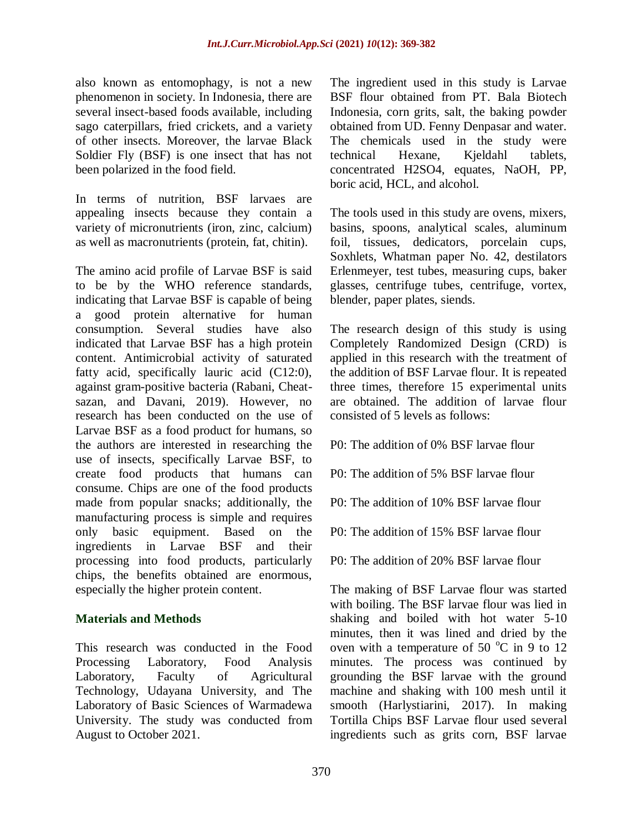also known as entomophagy, is not a new phenomenon in society. In Indonesia, there are several insect-based foods available, including sago caterpillars, fried crickets, and a variety of other insects. Moreover, the larvae Black Soldier Fly (BSF) is one insect that has not been polarized in the food field.

In terms of nutrition, BSF larvaes are appealing insects because they contain a variety of micronutrients (iron, zinc, calcium) as well as macronutrients (protein, fat, chitin).

The amino acid profile of Larvae BSF is said to be by the WHO reference standards, indicating that Larvae BSF is capable of being a good protein alternative for human consumption. Several studies have also indicated that Larvae BSF has a high protein content. Antimicrobial activity of saturated fatty acid, specifically lauric acid (C12:0), against gram-positive bacteria (Rabani, Cheatsazan, and Davani, 2019). However, no research has been conducted on the use of Larvae BSF as a food product for humans, so the authors are interested in researching the use of insects, specifically Larvae BSF, to create food products that humans can consume. Chips are one of the food products made from popular snacks; additionally, the manufacturing process is simple and requires only basic equipment. Based on the ingredients in Larvae BSF and their processing into food products, particularly chips, the benefits obtained are enormous, especially the higher protein content.

## **Materials and Methods**

This research was conducted in the Food Processing Laboratory, Food Analysis Laboratory, Faculty of Agricultural Technology, Udayana University, and The Laboratory of Basic Sciences of Warmadewa University. The study was conducted from August to October 2021.

The ingredient used in this study is Larvae BSF flour obtained from PT. Bala Biotech Indonesia, corn grits, salt, the baking powder obtained from UD. Fenny Denpasar and water. The chemicals used in the study were technical Hexane, Kjeldahl tablets, concentrated H2SO4, equates, NaOH, PP, boric acid, HCL, and alcohol.

The tools used in this study are ovens, mixers, basins, spoons, analytical scales, aluminum foil, tissues, dedicators, porcelain cups, Soxhlets, Whatman paper No. 42, destilators Erlenmeyer, test tubes, measuring cups, baker glasses, centrifuge tubes, centrifuge, vortex, blender, paper plates, siends.

The research design of this study is using Completely Randomized Design (CRD) is applied in this research with the treatment of the addition of BSF Larvae flour. It is repeated three times, therefore 15 experimental units are obtained. The addition of larvae flour consisted of 5 levels as follows:

- P0: The addition of 0% BSF larvae flour
- P0: The addition of 5% BSF larvae flour
- P0: The addition of 10% BSF larvae flour
- P0: The addition of 15% BSF larvae flour
- P0: The addition of 20% BSF larvae flour

The making of BSF Larvae flour was started with boiling. The BSF larvae flour was lied in shaking and boiled with hot water 5-10 minutes, then it was lined and dried by the oven with a temperature of 50  $^{\circ}$ C in 9 to 12 minutes. The process was continued by grounding the BSF larvae with the ground machine and shaking with 100 mesh until it smooth (Harlystiarini, 2017). In making Tortilla Chips BSF Larvae flour used several ingredients such as grits corn, BSF larvae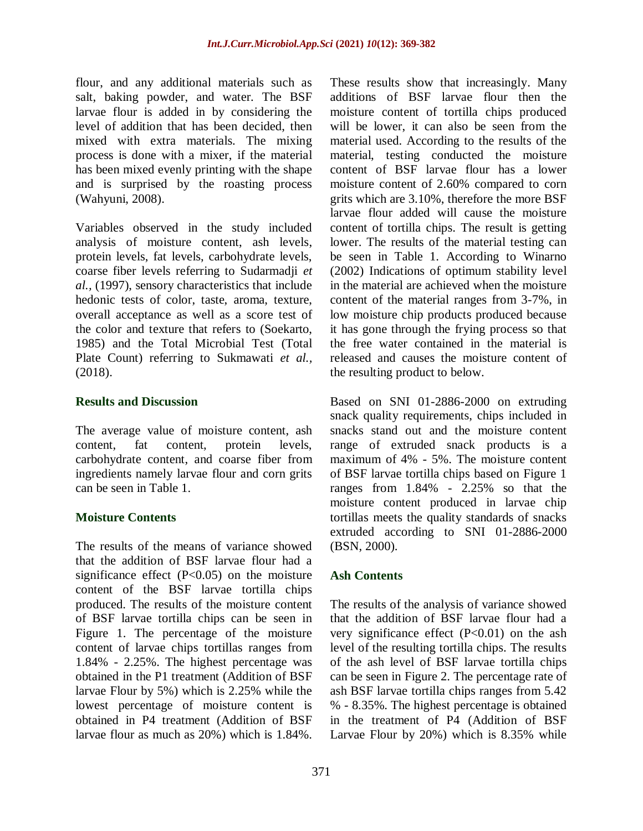flour, and any additional materials such as salt, baking powder, and water. The BSF larvae flour is added in by considering the level of addition that has been decided, then mixed with extra materials. The mixing process is done with a mixer, if the material has been mixed evenly printing with the shape and is surprised by the roasting process (Wahyuni, 2008).

Variables observed in the study included analysis of moisture content, ash levels, protein levels, fat levels, carbohydrate levels, coarse fiber levels referring to Sudarmadji *et al.,* (1997), sensory characteristics that include hedonic tests of color, taste, aroma, texture, overall acceptance as well as a score test of the color and texture that refers to (Soekarto, 1985) and the Total Microbial Test (Total Plate Count) referring to Sukmawati *et al.,* (2018).

#### **Results and Discussion**

The average value of moisture content, ash content, fat content, protein levels, carbohydrate content, and coarse fiber from ingredients namely larvae flour and corn grits can be seen in Table 1.

## **Moisture Contents**

The results of the means of variance showed that the addition of BSF larvae flour had a significance effect  $(P<0.05)$  on the moisture content of the BSF larvae tortilla chips produced. The results of the moisture content of BSF larvae tortilla chips can be seen in Figure 1. The percentage of the moisture content of larvae chips tortillas ranges from 1.84% - 2.25%. The highest percentage was obtained in the P1 treatment (Addition of BSF larvae Flour by 5%) which is 2.25% while the lowest percentage of moisture content is obtained in P4 treatment (Addition of BSF larvae flour as much as 20%) which is 1.84%.

These results show that increasingly. Many additions of BSF larvae flour then the moisture content of tortilla chips produced will be lower, it can also be seen from the material used. According to the results of the material, testing conducted the moisture content of BSF larvae flour has a lower moisture content of 2.60% compared to corn grits which are 3.10%, therefore the more BSF larvae flour added will cause the moisture content of tortilla chips. The result is getting lower. The results of the material testing can be seen in Table 1. According to Winarno (2002) Indications of optimum stability level in the material are achieved when the moisture content of the material ranges from 3-7%, in low moisture chip products produced because it has gone through the frying process so that the free water contained in the material is released and causes the moisture content of the resulting product to below.

Based on SNI 01-2886-2000 on extruding snack quality requirements, chips included in snacks stand out and the moisture content range of extruded snack products is a maximum of 4% - 5%. The moisture content of BSF larvae tortilla chips based on Figure 1 ranges from 1.84% - 2.25% so that the moisture content produced in larvae chip tortillas meets the quality standards of snacks extruded according to SNI 01-2886-2000 (BSN, 2000).

## **Ash Contents**

The results of the analysis of variance showed that the addition of BSF larvae flour had a very significance effect  $(P<0.01)$  on the ash level of the resulting tortilla chips. The results of the ash level of BSF larvae tortilla chips can be seen in Figure 2. The percentage rate of ash BSF larvae tortilla chips ranges from 5.42 % - 8.35%. The highest percentage is obtained in the treatment of P4 (Addition of BSF Larvae Flour by 20%) which is 8.35% while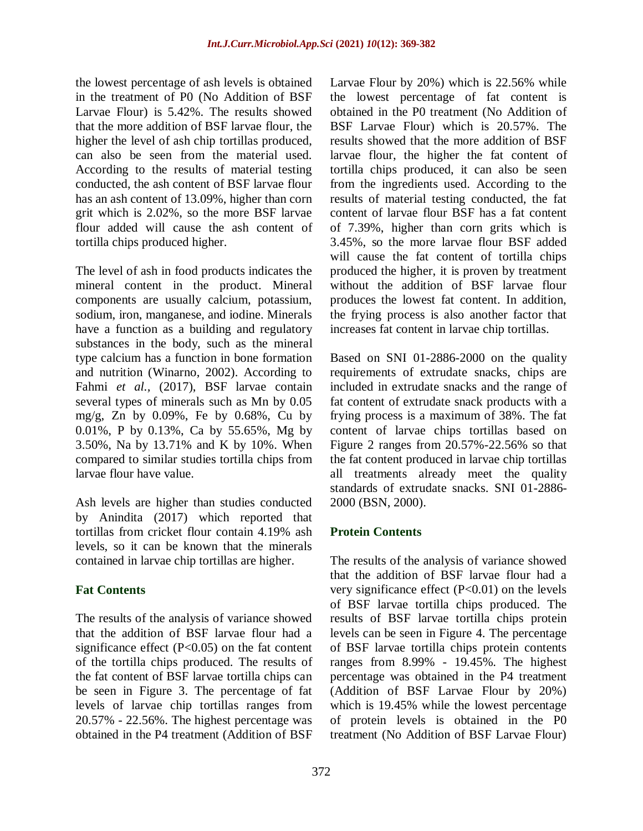the lowest percentage of ash levels is obtained in the treatment of P0 (No Addition of BSF Larvae Flour) is 5.42%. The results showed that the more addition of BSF larvae flour, the higher the level of ash chip tortillas produced, can also be seen from the material used. According to the results of material testing conducted, the ash content of BSF larvae flour has an ash content of 13.09%, higher than corn grit which is 2.02%, so the more BSF larvae flour added will cause the ash content of tortilla chips produced higher.

The level of ash in food products indicates the mineral content in the product. Mineral components are usually calcium, potassium, sodium, iron, manganese, and iodine. Minerals have a function as a building and regulatory substances in the body, such as the mineral type calcium has a function in bone formation and nutrition (Winarno, 2002). According to Fahmi *et al.,* (2017), BSF larvae contain several types of minerals such as Mn by 0.05 mg/g, Zn by 0.09%, Fe by 0.68%, Cu by 0.01%, P by 0.13%, Ca by 55.65%, Mg by 3.50%, Na by 13.71% and K by 10%. When compared to similar studies tortilla chips from larvae flour have value.

Ash levels are higher than studies conducted by Anindita (2017) which reported that tortillas from cricket flour contain 4.19% ash levels, so it can be known that the minerals contained in larvae chip tortillas are higher.

## **Fat Contents**

The results of the analysis of variance showed that the addition of BSF larvae flour had a significance effect  $(P<0.05)$  on the fat content of the tortilla chips produced. The results of the fat content of BSF larvae tortilla chips can be seen in Figure 3. The percentage of fat levels of larvae chip tortillas ranges from 20.57% - 22.56%. The highest percentage was obtained in the P4 treatment (Addition of BSF

Larvae Flour by 20%) which is 22.56% while the lowest percentage of fat content is obtained in the P0 treatment (No Addition of BSF Larvae Flour) which is 20.57%. The results showed that the more addition of BSF larvae flour, the higher the fat content of tortilla chips produced, it can also be seen from the ingredients used. According to the results of material testing conducted, the fat content of larvae flour BSF has a fat content of 7.39%, higher than corn grits which is 3.45%, so the more larvae flour BSF added will cause the fat content of tortilla chips produced the higher, it is proven by treatment without the addition of BSF larvae flour produces the lowest fat content. In addition, the frying process is also another factor that increases fat content in larvae chip tortillas.

Based on SNI 01-2886-2000 on the quality requirements of extrudate snacks, chips are included in extrudate snacks and the range of fat content of extrudate snack products with a frying process is a maximum of 38%. The fat content of larvae chips tortillas based on Figure 2 ranges from 20.57%-22.56% so that the fat content produced in larvae chip tortillas all treatments already meet the quality standards of extrudate snacks. SNI 01-2886- 2000 (BSN, 2000).

# **Protein Contents**

The results of the analysis of variance showed that the addition of BSF larvae flour had a very significance effect  $(P<0.01)$  on the levels of BSF larvae tortilla chips produced. The results of BSF larvae tortilla chips protein levels can be seen in Figure 4. The percentage of BSF larvae tortilla chips protein contents ranges from 8.99% - 19.45%. The highest percentage was obtained in the P4 treatment (Addition of BSF Larvae Flour by 20%) which is 19.45% while the lowest percentage of protein levels is obtained in the P0 treatment (No Addition of BSF Larvae Flour)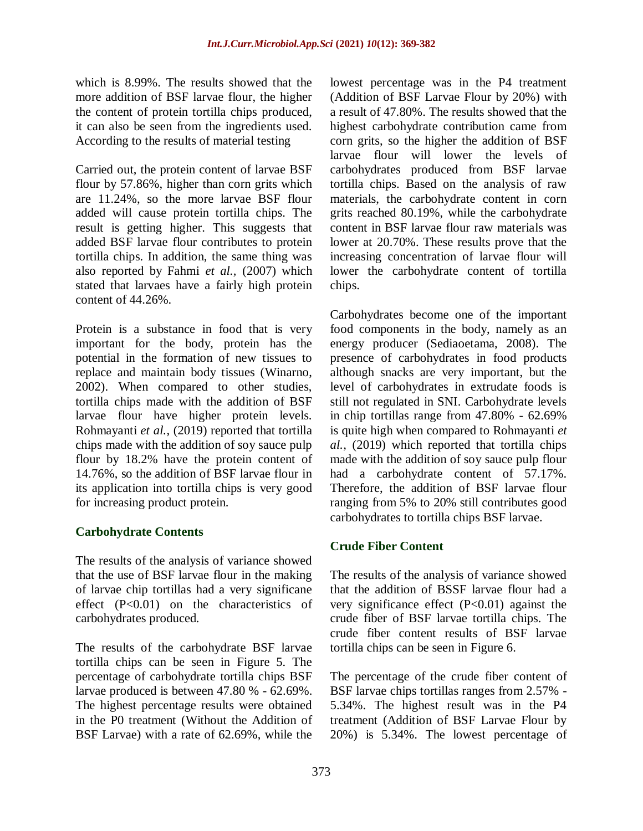which is 8.99%. The results showed that the more addition of BSF larvae flour, the higher the content of protein tortilla chips produced, it can also be seen from the ingredients used. According to the results of material testing

Carried out, the protein content of larvae BSF flour by 57.86%, higher than corn grits which are 11.24%, so the more larvae BSF flour added will cause protein tortilla chips. The result is getting higher. This suggests that added BSF larvae flour contributes to protein tortilla chips. In addition, the same thing was also reported by Fahmi *et al.,* (2007) which stated that larvaes have a fairly high protein content of 44.26%.

Protein is a substance in food that is very important for the body, protein has the potential in the formation of new tissues to replace and maintain body tissues (Winarno, 2002). When compared to other studies, tortilla chips made with the addition of BSF larvae flour have higher protein levels. Rohmayanti *et al.,* (2019) reported that tortilla chips made with the addition of soy sauce pulp flour by 18.2% have the protein content of 14.76%, so the addition of BSF larvae flour in its application into tortilla chips is very good for increasing product protein.

## **Carbohydrate Contents**

The results of the analysis of variance showed that the use of BSF larvae flour in the making of larvae chip tortillas had a very significane effect (P<0.01) on the characteristics of carbohydrates produced.

The results of the carbohydrate BSF larvae tortilla chips can be seen in Figure 5. The percentage of carbohydrate tortilla chips BSF larvae produced is between 47.80 % - 62.69%. The highest percentage results were obtained in the P0 treatment (Without the Addition of BSF Larvae) with a rate of 62.69%, while the

lowest percentage was in the P4 treatment (Addition of BSF Larvae Flour by 20%) with a result of 47.80%. The results showed that the highest carbohydrate contribution came from corn grits, so the higher the addition of BSF larvae flour will lower the levels of carbohydrates produced from BSF larvae tortilla chips. Based on the analysis of raw materials, the carbohydrate content in corn grits reached 80.19%, while the carbohydrate content in BSF larvae flour raw materials was lower at 20.70%. These results prove that the increasing concentration of larvae flour will lower the carbohydrate content of tortilla chips.

Carbohydrates become one of the important food components in the body, namely as an energy producer (Sediaoetama, 2008). The presence of carbohydrates in food products although snacks are very important, but the level of carbohydrates in extrudate foods is still not regulated in SNI. Carbohydrate levels in chip tortillas range from 47.80% - 62.69% is quite high when compared to Rohmayanti *et al.,* (2019) which reported that tortilla chips made with the addition of soy sauce pulp flour had a carbohydrate content of 57.17%. Therefore, the addition of BSF larvae flour ranging from 5% to 20% still contributes good carbohydrates to tortilla chips BSF larvae.

## **Crude Fiber Content**

The results of the analysis of variance showed that the addition of BSSF larvae flour had a very significance effect (P<0.01) against the crude fiber of BSF larvae tortilla chips. The crude fiber content results of BSF larvae tortilla chips can be seen in Figure 6.

The percentage of the crude fiber content of BSF larvae chips tortillas ranges from 2.57% - 5.34%. The highest result was in the P4 treatment (Addition of BSF Larvae Flour by 20%) is 5.34%. The lowest percentage of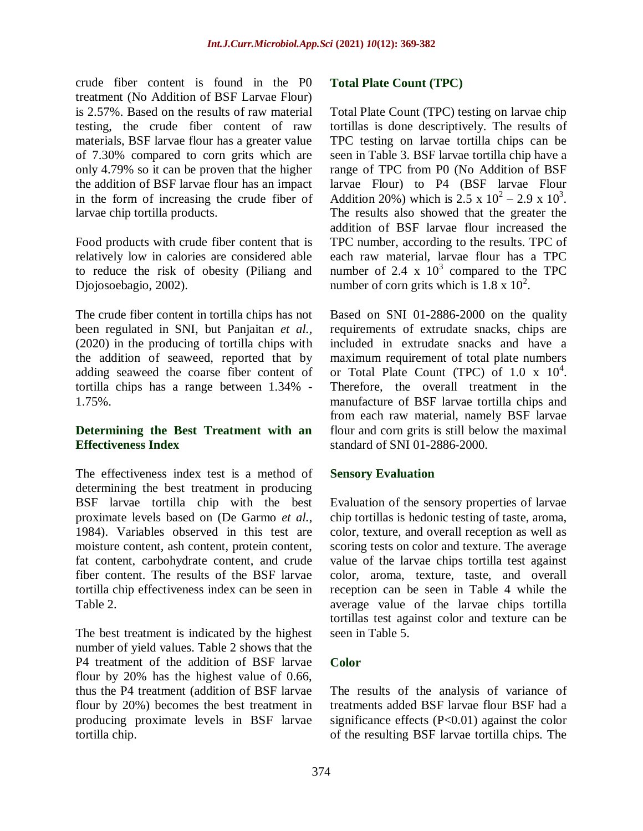crude fiber content is found in the P0 treatment (No Addition of BSF Larvae Flour) is 2.57%. Based on the results of raw material testing, the crude fiber content of raw materials, BSF larvae flour has a greater value of 7.30% compared to corn grits which are only 4.79% so it can be proven that the higher the addition of BSF larvae flour has an impact in the form of increasing the crude fiber of larvae chip tortilla products.

Food products with crude fiber content that is relatively low in calories are considered able to reduce the risk of obesity (Piliang and Djojosoebagio, 2002).

The crude fiber content in tortilla chips has not been regulated in SNI, but Panjaitan *et al.,* (2020) in the producing of tortilla chips with the addition of seaweed, reported that by adding seaweed the coarse fiber content of tortilla chips has a range between 1.34% - 1.75%.

#### **Determining the Best Treatment with an Effectiveness Index**

The effectiveness index test is a method of determining the best treatment in producing BSF larvae tortilla chip with the best proximate levels based on (De Garmo *et al.,*  1984). Variables observed in this test are moisture content, ash content, protein content, fat content, carbohydrate content, and crude fiber content. The results of the BSF larvae tortilla chip effectiveness index can be seen in Table 2.

The best treatment is indicated by the highest number of yield values. Table 2 shows that the P4 treatment of the addition of BSF larvae flour by 20% has the highest value of 0.66, thus the P4 treatment (addition of BSF larvae flour by 20%) becomes the best treatment in producing proximate levels in BSF larvae tortilla chip.

#### **Total Plate Count (TPC)**

Total Plate Count (TPC) testing on larvae chip tortillas is done descriptively. The results of TPC testing on larvae tortilla chips can be seen in Table 3. BSF larvae tortilla chip have a range of TPC from P0 (No Addition of BSF larvae Flour) to P4 (BSF larvae Flour Addition 20%) which is  $2.5 \times 10^2 - 2.9 \times 10^3$ . The results also showed that the greater the addition of BSF larvae flour increased the TPC number, according to the results. TPC of each raw material, larvae flour has a TPC number of 2.4 x  $10^3$  compared to the TPC number of corn grits which is  $1.8 \times 10^2$ .

Based on SNI 01-2886-2000 on the quality requirements of extrudate snacks, chips are included in extrudate snacks and have a maximum requirement of total plate numbers or Total Plate Count (TPC) of  $1.0 \times 10^4$ . Therefore, the overall treatment in the manufacture of BSF larvae tortilla chips and from each raw material, namely BSF larvae flour and corn grits is still below the maximal standard of SNI 01-2886-2000.

## **Sensory Evaluation**

Evaluation of the sensory properties of larvae chip tortillas is hedonic testing of taste, aroma, color, texture, and overall reception as well as scoring tests on color and texture. The average value of the larvae chips tortilla test against color, aroma, texture, taste, and overall reception can be seen in Table 4 while the average value of the larvae chips tortilla tortillas test against color and texture can be seen in Table 5.

## **Color**

The results of the analysis of variance of treatments added BSF larvae flour BSF had a significance effects  $(P<0.01)$  against the color of the resulting BSF larvae tortilla chips. The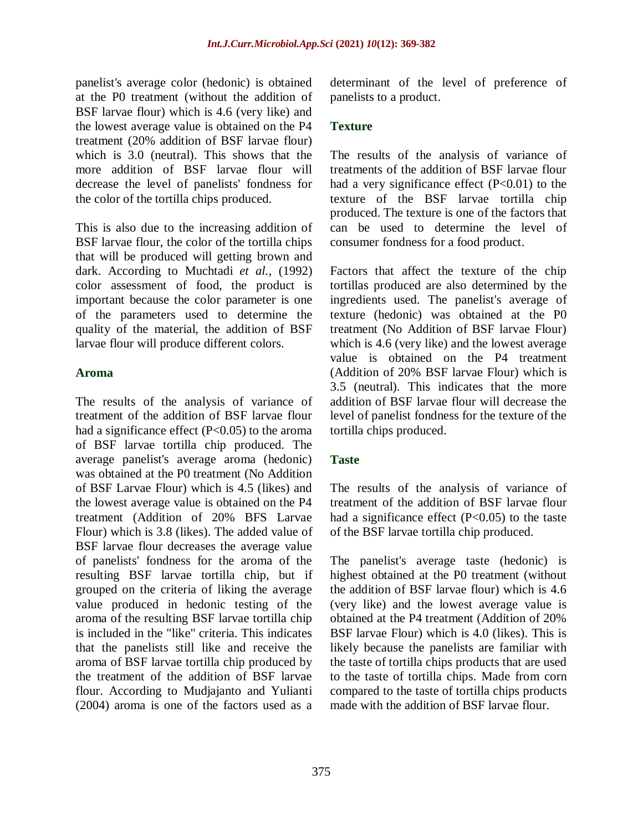panelist's average color (hedonic) is obtained at the P0 treatment (without the addition of BSF larvae flour) which is 4.6 (very like) and the lowest average value is obtained on the P4 treatment (20% addition of BSF larvae flour) which is 3.0 (neutral). This shows that the more addition of BSF larvae flour will decrease the level of panelists' fondness for the color of the tortilla chips produced.

This is also due to the increasing addition of BSF larvae flour, the color of the tortilla chips that will be produced will getting brown and dark. According to Muchtadi *et al.,* (1992) color assessment of food, the product is important because the color parameter is one of the parameters used to determine the quality of the material, the addition of BSF larvae flour will produce different colors.

#### **Aroma**

The results of the analysis of variance of treatment of the addition of BSF larvae flour had a significance effect  $(P<0.05)$  to the aroma of BSF larvae tortilla chip produced. The average panelist's average aroma (hedonic) was obtained at the P0 treatment (No Addition of BSF Larvae Flour) which is 4.5 (likes) and the lowest average value is obtained on the P4 treatment (Addition of 20% BFS Larvae Flour) which is 3.8 (likes). The added value of BSF larvae flour decreases the average value of panelists' fondness for the aroma of the resulting BSF larvae tortilla chip, but if grouped on the criteria of liking the average value produced in hedonic testing of the aroma of the resulting BSF larvae tortilla chip is included in the "like" criteria. This indicates that the panelists still like and receive the aroma of BSF larvae tortilla chip produced by the treatment of the addition of BSF larvae flour. According to Mudjajanto and Yulianti (2004) aroma is one of the factors used as a

determinant of the level of preference of panelists to a product.

## **Texture**

The results of the analysis of variance of treatments of the addition of BSF larvae flour had a very significance effect  $(P<0.01)$  to the texture of the BSF larvae tortilla chip produced. The texture is one of the factors that can be used to determine the level of consumer fondness for a food product.

Factors that affect the texture of the chip tortillas produced are also determined by the ingredients used. The panelist's average of texture (hedonic) was obtained at the P0 treatment (No Addition of BSF larvae Flour) which is 4.6 (very like) and the lowest average value is obtained on the P4 treatment (Addition of 20% BSF larvae Flour) which is 3.5 (neutral). This indicates that the more addition of BSF larvae flour will decrease the level of panelist fondness for the texture of the tortilla chips produced.

## **Taste**

The results of the analysis of variance of treatment of the addition of BSF larvae flour had a significance effect  $(P<0.05)$  to the taste of the BSF larvae tortilla chip produced.

The panelist's average taste (hedonic) is highest obtained at the P0 treatment (without the addition of BSF larvae flour) which is 4.6 (very like) and the lowest average value is obtained at the P4 treatment (Addition of 20% BSF larvae Flour) which is 4.0 (likes). This is likely because the panelists are familiar with the taste of tortilla chips products that are used to the taste of tortilla chips. Made from corn compared to the taste of tortilla chips products made with the addition of BSF larvae flour.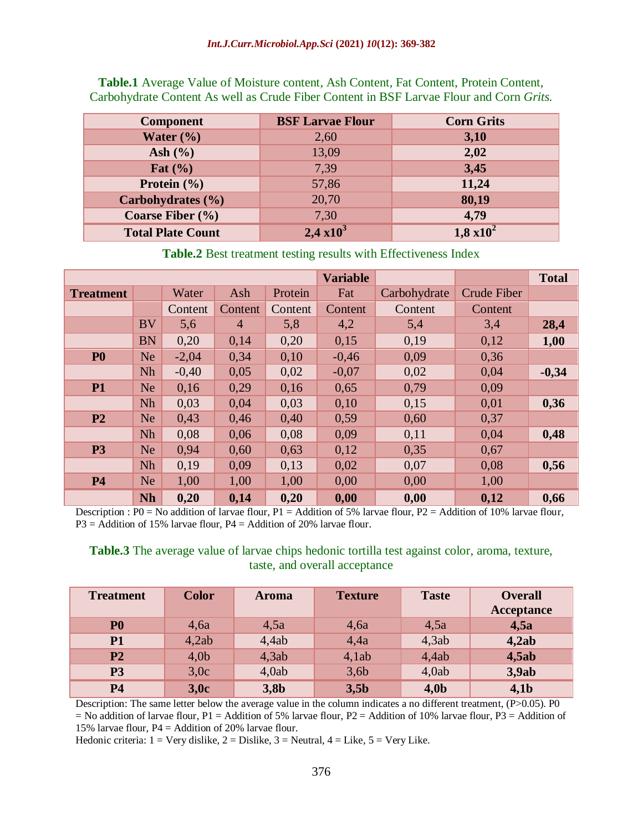| <b>Component</b>               | <b>BSF Larvae Flour</b> | <b>Corn Grits</b> |
|--------------------------------|-------------------------|-------------------|
|                                |                         |                   |
| Water $(\% )$                  | 2,60                    | 3,10              |
| Ash $(\% )$                    | 13,09                   | 2,02              |
| Fat $(\% )$                    | 7,39                    | 3,45              |
| <b>Protein</b> $(\frac{6}{6})$ | 57,86                   | 11,24             |
| Carbohydrates (%)              | 20,70                   | 80,19             |
| Coarse Fiber $(\% )$           | 7,30                    | 4,79              |
| <b>Total Plate Count</b>       | $2,4 \times 10^3$       | $1,8 \times 10^2$ |

**Table.1** Average Value of Moisture content, Ash Content, Fat Content, Protein Content, Carbohydrate Content As well as Crude Fiber Content in BSF Larvae Flour and Corn *Grits.*

**Table.2** Best treatment testing results with Effectiveness Index

|                  |           |         |                |         | <b>Variable</b> |              |                    | <b>Total</b> |
|------------------|-----------|---------|----------------|---------|-----------------|--------------|--------------------|--------------|
| <b>Treatment</b> |           | Water   | Ash            | Protein | Fat             | Carbohydrate | <b>Crude Fiber</b> |              |
|                  |           | Content | Content        | Content | Content         | Content      | Content            |              |
|                  | <b>BV</b> | 5,6     | $\overline{4}$ | 5,8     | 4,2             | 5,4          | 3,4                | 28,4         |
|                  | <b>BN</b> | 0,20    | 0,14           | 0,20    | 0,15            | 0,19         | 0,12               | 1,00         |
| P <sub>0</sub>   | <b>Ne</b> | $-2,04$ | 0,34           | 0,10    | $-0,46$         | 0,09         | 0,36               |              |
|                  | <b>Nh</b> | $-0,40$ | 0,05           | 0,02    | $-0,07$         | 0,02         | 0,04               | $-0,34$      |
| <b>P1</b>        | Ne        | 0,16    | 0,29           | 0,16    | 0,65            | 0,79         | 0,09               |              |
|                  | <b>Nh</b> | 0,03    | 0,04           | 0,03    | 0,10            | 0,15         | 0,01               | 0,36         |
| P2               | Ne        | 0,43    | 0,46           | 0,40    | 0,59            | 0,60         | 0,37               |              |
|                  | <b>Nh</b> | 0,08    | 0,06           | 0,08    | 0,09            | 0,11         | 0,04               | 0,48         |
| <b>P3</b>        | Ne        | 0,94    | 0,60           | 0,63    | 0,12            | 0,35         | 0,67               |              |
|                  | <b>Nh</b> | 0,19    | 0,09           | 0,13    | 0,02            | 0,07         | 0,08               | 0,56         |
| <b>P4</b>        | <b>Ne</b> | 1,00    | 1,00           | 1,00    | 0,00            | 0,00         | 1,00               |              |
|                  | <b>Nh</b> | 0,20    | 0,14           | 0,20    | 0,00            | 0,00         | 0,12               | 0,66         |

Description : P0 = No addition of larvae flour, P1 = Addition of 5% larvae flour, P2 = Addition of 10% larvae flour,  $P3 =$  Addition of 15% larvae flour,  $P4 =$  Addition of 20% larvae flour.

#### **Table.3** The average value of larvae chips hedonic tortilla test against color, aroma, texture, taste, and overall acceptance

| <b>Treatment</b> | <b>Color</b>     | <b>Aroma</b> | <b>Texture</b> | <b>Taste</b>     | <b>Overall</b><br><b>Acceptance</b> |
|------------------|------------------|--------------|----------------|------------------|-------------------------------------|
| P <sub>0</sub>   | 4,6a             | 4,5a         | 4,6a           | 4,5a             | 4,5a                                |
| <b>P1</b>        | 4,2ab            | 4,4ab        | 4,4a           | 4,3ab            | 4,2ab                               |
| P <sub>2</sub>   | 4,0 <sub>b</sub> | 4,3ab        | 4,1ab          | 4,4ab            | 4,5ab                               |
| P <sub>3</sub>   | 3,0c             | 4,0ab        | 3,6b           | 4,0ab            | 3,9ab                               |
| <b>P4</b>        | 3,0c             | 3,8b         | 3,5b           | 4,0 <sub>b</sub> | 4,1 <sub>b</sub>                    |

Description: The same letter below the average value in the column indicates a no different treatment, (P>0.05). P0  $=$  No addition of larvae flour, P1 = Addition of 5% larvae flour, P2 = Addition of 10% larvae flour, P3 = Addition of 15% larvae flour, P4 = Addition of 20% larvae flour.

Hedonic criteria:  $1 = \text{Very }\text{diske}, 2 = \text{Diske}, 3 = \text{Neutral}, 4 = \text{Like}, 5 = \text{Very Like}.$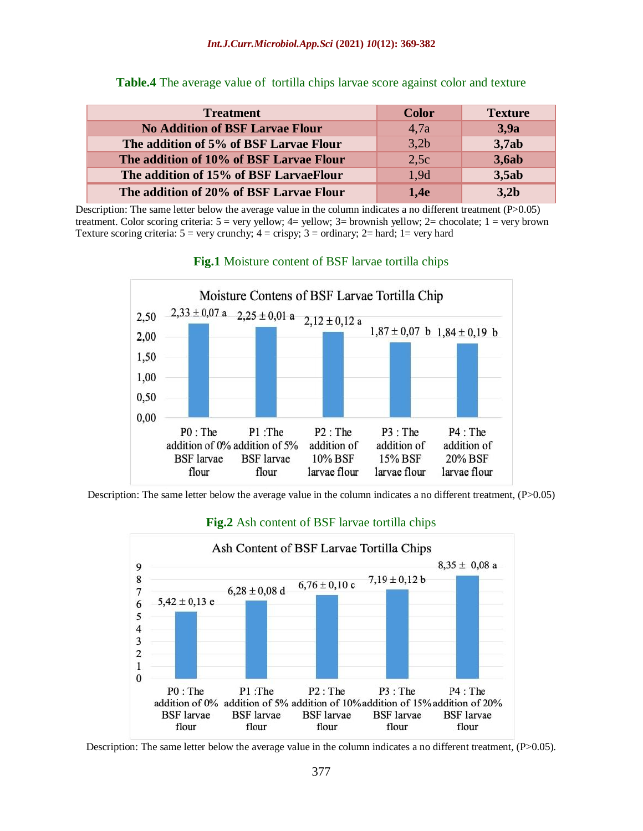| <b>Treatment</b>                        | <b>Color</b> | <b>Texture</b> |
|-----------------------------------------|--------------|----------------|
| <b>No Addition of BSF Larvae Flour</b>  | 4.7a         | 3,9a           |
| The addition of 5% of BSF Larvae Flour  | 3,2b         | 3,7ab          |
| The addition of 10% of BSF Larvae Flour | 2,5c         | <b>3,6ab</b>   |
| The addition of 15% of BSF LarvaeFlour  | 1.9d         | 3,5ab          |
| The addition of 20% of BSF Larvae Flour | 1.4e         | 3,2b           |

**Table.4** The average value of tortilla chips larvae score against color and texture

Description: The same letter below the average value in the column indicates a no different treatment  $(P>0.05)$ treatment. Color scoring criteria:  $5 = \text{very yellow}; 4 = \text{yellow}; 3 = \text{brown}$  yellow;  $2 = \text{chocolate}; 1 = \text{very brown}$ Texture scoring criteria:  $5 = \text{very}$  crunchy;  $4 = \text{crispy}$ ;  $3 = \text{ordinary}$ ;  $2 = \text{hard}$ ;  $1 = \text{very}$  hard



#### **Fig.1** Moisture content of BSF larvae tortilla chips

Description: The same letter below the average value in the column indicates a no different treatment, (P>0.05)



## **Fig.2** Ash content of BSF larvae tortilla chips

Description: The same letter below the average value in the column indicates a no different treatment, (P>0.05).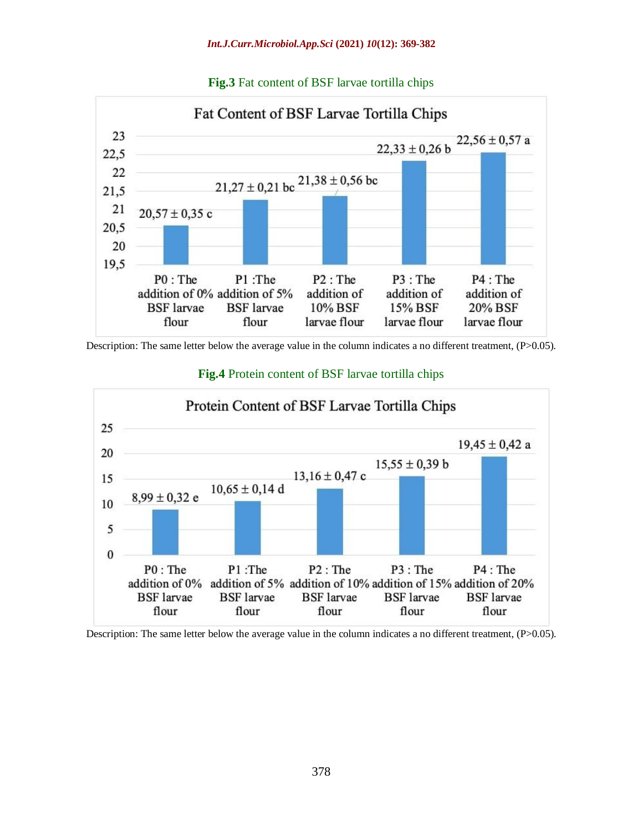![](_page_9_Figure_1.jpeg)

#### **Fig.3** Fat content of BSF larvae tortilla chips

Description: The same letter below the average value in the column indicates a no different treatment, (P>0.05).

![](_page_9_Figure_4.jpeg)

#### **Fig.4** Protein content of BSF larvae tortilla chips

Description: The same letter below the average value in the column indicates a no different treatment, (P>0.05).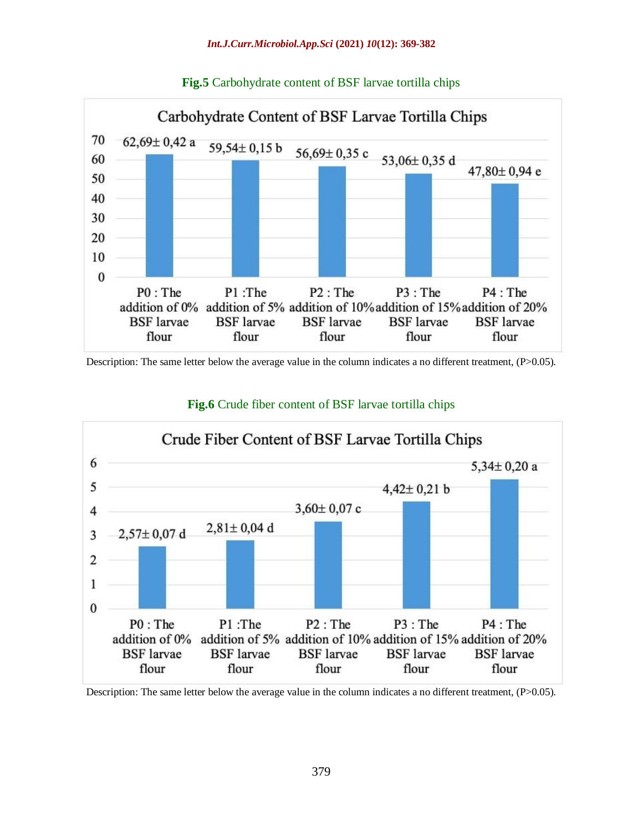![](_page_10_Figure_1.jpeg)

**Fig.5** Carbohydrate content of BSF larvae tortilla chips

Description: The same letter below the average value in the column indicates a no different treatment, (P>0.05).

![](_page_10_Figure_4.jpeg)

## **Fig.6** Crude fiber content of BSF larvae tortilla chips

Description: The same letter below the average value in the column indicates a no different treatment, (P>0.05).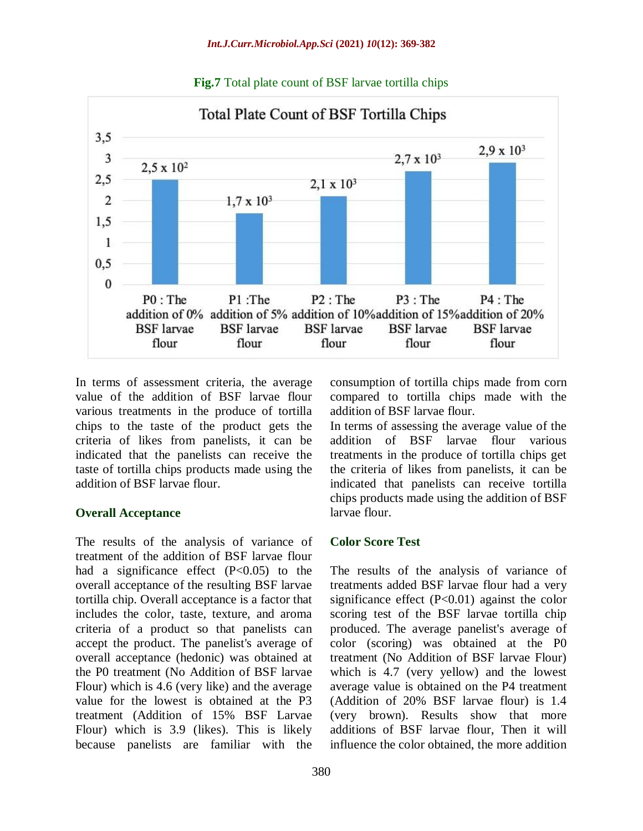![](_page_11_Figure_1.jpeg)

**Fig.7** Total plate count of BSF larvae tortilla chips

In terms of assessment criteria, the average value of the addition of BSF larvae flour various treatments in the produce of tortilla chips to the taste of the product gets the criteria of likes from panelists, it can be indicated that the panelists can receive the taste of tortilla chips products made using the addition of BSF larvae flour.

## **Overall Acceptance**

The results of the analysis of variance of treatment of the addition of BSF larvae flour had a significance effect  $(P<0.05)$  to the overall acceptance of the resulting BSF larvae tortilla chip. Overall acceptance is a factor that includes the color, taste, texture, and aroma criteria of a product so that panelists can accept the product. The panelist's average of overall acceptance (hedonic) was obtained at the P0 treatment (No Addition of BSF larvae Flour) which is 4.6 (very like) and the average value for the lowest is obtained at the P3 treatment (Addition of 15% BSF Larvae Flour) which is 3.9 (likes). This is likely because panelists are familiar with the

consumption of tortilla chips made from corn compared to tortilla chips made with the addition of BSF larvae flour.

In terms of assessing the average value of the addition of BSF larvae flour various treatments in the produce of tortilla chips get the criteria of likes from panelists, it can be indicated that panelists can receive tortilla chips products made using the addition of BSF larvae flour.

# **Color Score Test**

The results of the analysis of variance of treatments added BSF larvae flour had a very significance effect (P<0.01) against the color scoring test of the BSF larvae tortilla chip produced. The average panelist's average of color (scoring) was obtained at the P0 treatment (No Addition of BSF larvae Flour) which is 4.7 (very yellow) and the lowest average value is obtained on the P4 treatment (Addition of 20% BSF larvae flour) is 1.4 (very brown). Results show that more additions of BSF larvae flour, Then it will influence the color obtained, the more addition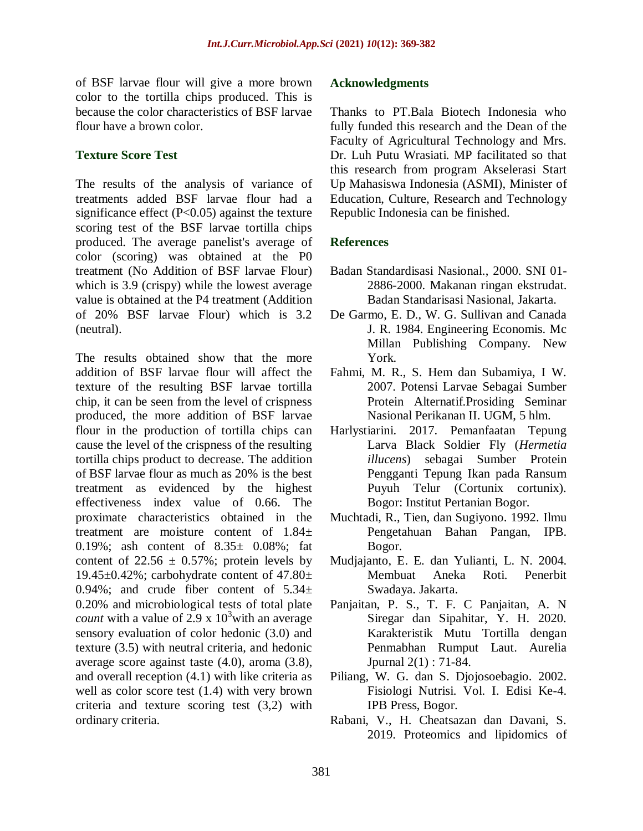of BSF larvae flour will give a more brown color to the tortilla chips produced. This is because the color characteristics of BSF larvae flour have a brown color.

#### **Texture Score Test**

The results of the analysis of variance of treatments added BSF larvae flour had a significance effect  $(P<0.05)$  against the texture scoring test of the BSF larvae tortilla chips produced. The average panelist's average of color (scoring) was obtained at the P0 treatment (No Addition of BSF larvae Flour) which is 3.9 (crispy) while the lowest average value is obtained at the P4 treatment (Addition of 20% BSF larvae Flour) which is 3.2 (neutral).

The results obtained show that the more addition of BSF larvae flour will affect the texture of the resulting BSF larvae tortilla chip, it can be seen from the level of crispness produced, the more addition of BSF larvae flour in the production of tortilla chips can cause the level of the crispness of the resulting tortilla chips product to decrease. The addition of BSF larvae flour as much as 20% is the best treatment as evidenced by the highest effectiveness index value of 0.66. The proximate characteristics obtained in the treatment are moisture content of 1.84± 0.19%; ash content of 8.35± 0.08%; fat content of  $22.56 \pm 0.57\%$ ; protein levels by 19.45 $\pm$ 0.42%; carbohydrate content of 47.80 $\pm$ 0.94%; and crude fiber content of  $5.34 \pm$ 0.20% and microbiological tests of total plate *count* with a value of 2.9 x  $10<sup>3</sup>$  with an average sensory evaluation of color hedonic (3.0) and texture (3.5) with neutral criteria, and hedonic average score against taste (4.0), aroma (3.8), and overall reception (4.1) with like criteria as well as color score test (1.4) with very brown criteria and texture scoring test (3,2) with ordinary criteria.

#### **Acknowledgments**

Thanks to PT.Bala Biotech Indonesia who fully funded this research and the Dean of the Faculty of Agricultural Technology and Mrs. Dr. Luh Putu Wrasiati. MP facilitated so that this research from program Akselerasi Start Up Mahasiswa Indonesia (ASMI), Minister of Education, Culture, Research and Technology Republic Indonesia can be finished.

#### **References**

- Badan Standardisasi Nasional., 2000. SNI 01- 2886-2000. Makanan ringan ekstrudat. Badan Standarisasi Nasional, Jakarta.
- De Garmo, E. D., W. G. Sullivan and Canada J. R. 1984. Engineering Economis. Mc Millan Publishing Company. New York.
- Fahmi, M. R., S. Hem dan Subamiya, I W. 2007. Potensi Larvae Sebagai Sumber Protein Alternatif.Prosiding Seminar Nasional Perikanan II. UGM, 5 hlm.
- Harlystiarini. 2017. Pemanfaatan Tepung Larva Black Soldier Fly (*Hermetia illucens*) sebagai Sumber Protein Pengganti Tepung Ikan pada Ransum Puyuh Telur (Cortunix cortunix). Bogor: Institut Pertanian Bogor.
- Muchtadi, R., Tien, dan Sugiyono. 1992. Ilmu Pengetahuan Bahan Pangan, IPB. Bogor.
- Mudjajanto, E. E. dan Yulianti, L. N. 2004. Membuat Aneka Roti. Penerbit Swadaya. Jakarta.
- Panjaitan, P. S., T. F. C Panjaitan, A. N Siregar dan Sipahitar, Y. H. 2020. Karakteristik Mutu Tortilla dengan Penmabhan Rumput Laut. Aurelia Jpurnal 2(1) : 71-84.
- Piliang, W. G. dan S. Djojosoebagio. 2002. Fisiologi Nutrisi. Vol. I. Edisi Ke-4. IPB Press, Bogor.
- Rabani, V., H. Cheatsazan dan Davani, S. 2019. Proteomics and lipidomics of